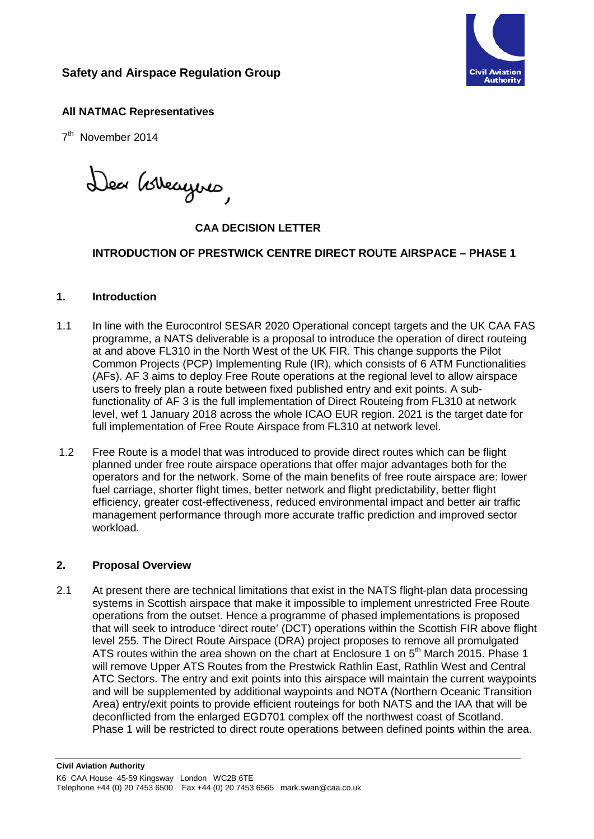# **Safety and Airspace Regulation Group**



#### **All NATMAC Representatives**

7<sup>th</sup> November 2014

Dea Gobeagues,

## **CAA DECISION LETTER**

#### **INTRODUCTION OF PRESTWICK CENTRE DIRECT ROUTE AIRSPACE – PHASE 1**

#### **1. Introduction**

- 1.1 In line with the Eurocontrol SESAR 2020 Operational concept targets and the UK CAA FAS programme, a NATS deliverable is a proposal to introduce the operation of direct routeing at and above FL310 in the North West of the UK FIR. This change supports the Pilot Common Projects (PCP) Implementing Rule (IR), which consists of 6 ATM Functionalities (AFs). AF 3 aims to deploy Free Route operations at the regional level to allow airspace users to freely plan a route between fixed published entry and exit points. A subfunctionality of AF 3 is the full implementation of Direct Routeing from FL310 at network level, wef 1 January 2018 across the whole ICAO EUR region. 2021 is the target date for full implementation of Free Route Airspace from FL310 at network level.
- 1.2 Free Route is a model that was introduced to provide direct routes which can be flight planned under free route airspace operations that offer major advantages both for the operators and for the network. Some of the main benefits of free route airspace are: lower fuel carriage, shorter flight times, better network and flight predictability, better flight efficiency, greater cost-effectiveness, reduced environmental impact and better air traffic management performance through more accurate traffic prediction and improved sector workload.

#### **2. Proposal Overview**

2.1 At present there are technical limitations that exist in the NATS flight-plan data processing systems in Scottish airspace that make it impossible to implement unrestricted Free Route operations from the outset. Hence a programme of phased implementations is proposed that will seek to introduce 'direct route' (DCT) operations within the Scottish FIR above flight level 255. The Direct Route Airspace (DRA) project proposes to remove all promulgated ATS routes within the area shown on the chart at Enclosure 1 on 5<sup>th</sup> March 2015. Phase 1 will remove Upper ATS Routes from the Prestwick Rathlin East, Rathlin West and Central ATC Sectors. The entry and exit points into this airspace will maintain the current waypoints and will be supplemented by additional waypoints and NOTA (Northern Oceanic Transition Area) entry/exit points to provide efficient routeings for both NATS and the IAA that will be deconflicted from the enlarged EGD701 complex off the northwest coast of Scotland. Phase 1 will be restricted to direct route operations between defined points within the area.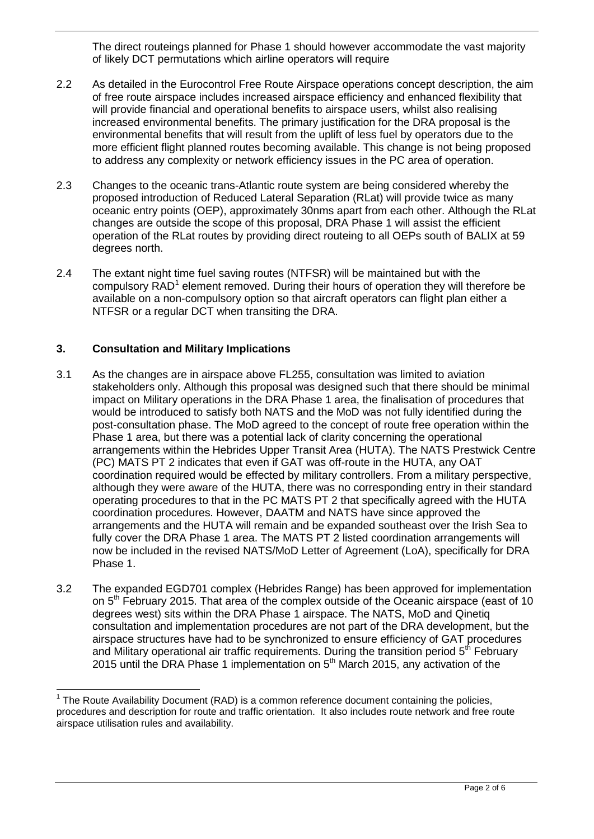The direct routeings planned for Phase 1 should however accommodate the vast majority of likely DCT permutations which airline operators will require

- 2.2 As detailed in the Eurocontrol Free Route Airspace operations concept description, the aim of free route airspace includes increased airspace efficiency and enhanced flexibility that will provide financial and operational benefits to airspace users, whilst also realising increased environmental benefits. The primary justification for the DRA proposal is the environmental benefits that will result from the uplift of less fuel by operators due to the more efficient flight planned routes becoming available. This change is not being proposed to address any complexity or network efficiency issues in the PC area of operation.
- 2.3 Changes to the oceanic trans-Atlantic route system are being considered whereby the proposed introduction of Reduced Lateral Separation (RLat) will provide twice as many oceanic entry points (OEP), approximately 30nms apart from each other. Although the RLat changes are outside the scope of this proposal, DRA Phase 1 will assist the efficient operation of the RLat routes by providing direct routeing to all OEPs south of BALIX at 59 degrees north.
- 2.4 The extant night time fuel saving routes (NTFSR) will be maintained but with the compulsory  $RAD<sup>1</sup>$  $RAD<sup>1</sup>$  $RAD<sup>1</sup>$  element removed. During their hours of operation they will therefore be available on a non-compulsory option so that aircraft operators can flight plan either a NTFSR or a regular DCT when transiting the DRA.

#### **3. Consultation and Military Implications**

- 3.1 As the changes are in airspace above FL255, consultation was limited to aviation stakeholders only. Although this proposal was designed such that there should be minimal impact on Military operations in the DRA Phase 1 area, the finalisation of procedures that would be introduced to satisfy both NATS and the MoD was not fully identified during the post-consultation phase. The MoD agreed to the concept of route free operation within the Phase 1 area, but there was a potential lack of clarity concerning the operational arrangements within the Hebrides Upper Transit Area (HUTA). The NATS Prestwick Centre (PC) MATS PT 2 indicates that even if GAT was off-route in the HUTA, any OAT coordination required would be effected by military controllers. From a military perspective, although they were aware of the HUTA, there was no corresponding entry in their standard operating procedures to that in the PC MATS PT 2 that specifically agreed with the HUTA coordination procedures. However, DAATM and NATS have since approved the arrangements and the HUTA will remain and be expanded southeast over the Irish Sea to fully cover the DRA Phase 1 area. The MATS PT 2 listed coordination arrangements will now be included in the revised NATS/MoD Letter of Agreement (LoA), specifically for DRA Phase 1.
- 3.2 The expanded EGD701 complex (Hebrides Range) has been approved for implementation on 5<sup>th</sup> February 2015. That area of the complex outside of the Oceanic airspace (east of 10 degrees west) sits within the DRA Phase 1 airspace. The NATS, MoD and Qinetiq consultation and implementation procedures are not part of the DRA development, but the airspace structures have had to be synchronized to ensure efficiency of GAT procedures and Military operational air traffic requirements. During the transition period  $5<sup>th</sup>$  February 2015 until the DRA Phase 1 implementation on  $5<sup>th</sup>$  March 2015, any activation of the

<span id="page-1-0"></span> $1$  The Route Availability Document (RAD) is a common reference document containing the policies, procedures and description for route and traffic orientation. It also includes route network and free route airspace utilisation rules and availability.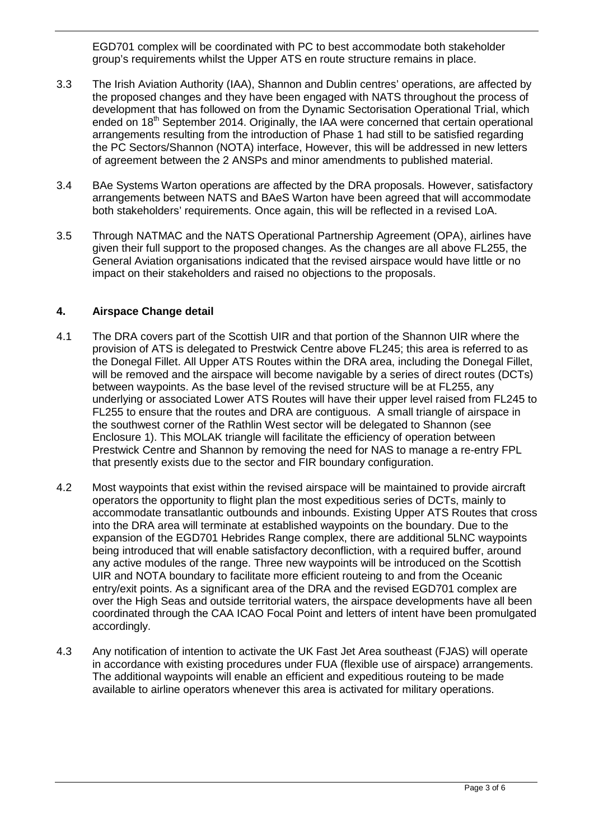EGD701 complex will be coordinated with PC to best accommodate both stakeholder group's requirements whilst the Upper ATS en route structure remains in place.

- 3.3 The Irish Aviation Authority (IAA), Shannon and Dublin centres' operations, are affected by the proposed changes and they have been engaged with NATS throughout the process of development that has followed on from the Dynamic Sectorisation Operational Trial, which ended on 18<sup>th</sup> September 2014. Originally, the IAA were concerned that certain operational arrangements resulting from the introduction of Phase 1 had still to be satisfied regarding the PC Sectors/Shannon (NOTA) interface, However, this will be addressed in new letters of agreement between the 2 ANSPs and minor amendments to published material.
- 3.4 BAe Systems Warton operations are affected by the DRA proposals. However, satisfactory arrangements between NATS and BAeS Warton have been agreed that will accommodate both stakeholders' requirements. Once again, this will be reflected in a revised LoA.
- 3.5 Through NATMAC and the NATS Operational Partnership Agreement (OPA), airlines have given their full support to the proposed changes. As the changes are all above FL255, the General Aviation organisations indicated that the revised airspace would have little or no impact on their stakeholders and raised no objections to the proposals.

#### **4. Airspace Change detail**

- 4.1 The DRA covers part of the Scottish UIR and that portion of the Shannon UIR where the provision of ATS is delegated to Prestwick Centre above FL245; this area is referred to as the Donegal Fillet. All Upper ATS Routes within the DRA area, including the Donegal Fillet, will be removed and the airspace will become navigable by a series of direct routes (DCTs) between waypoints. As the base level of the revised structure will be at FL255, any underlying or associated Lower ATS Routes will have their upper level raised from FL245 to FL255 to ensure that the routes and DRA are contiguous. A small triangle of airspace in the southwest corner of the Rathlin West sector will be delegated to Shannon (see Enclosure 1). This MOLAK triangle will facilitate the efficiency of operation between Prestwick Centre and Shannon by removing the need for NAS to manage a re-entry FPL that presently exists due to the sector and FIR boundary configuration.
- 4.2 Most waypoints that exist within the revised airspace will be maintained to provide aircraft operators the opportunity to flight plan the most expeditious series of DCTs, mainly to accommodate transatlantic outbounds and inbounds. Existing Upper ATS Routes that cross into the DRA area will terminate at established waypoints on the boundary. Due to the expansion of the EGD701 Hebrides Range complex, there are additional 5LNC waypoints being introduced that will enable satisfactory deconfliction, with a required buffer, around any active modules of the range. Three new waypoints will be introduced on the Scottish UIR and NOTA boundary to facilitate more efficient routeing to and from the Oceanic entry/exit points. As a significant area of the DRA and the revised EGD701 complex are over the High Seas and outside territorial waters, the airspace developments have all been coordinated through the CAA ICAO Focal Point and letters of intent have been promulgated accordingly.
- 4.3 Any notification of intention to activate the UK Fast Jet Area southeast (FJAS) will operate in accordance with existing procedures under FUA (flexible use of airspace) arrangements. The additional waypoints will enable an efficient and expeditious routeing to be made available to airline operators whenever this area is activated for military operations.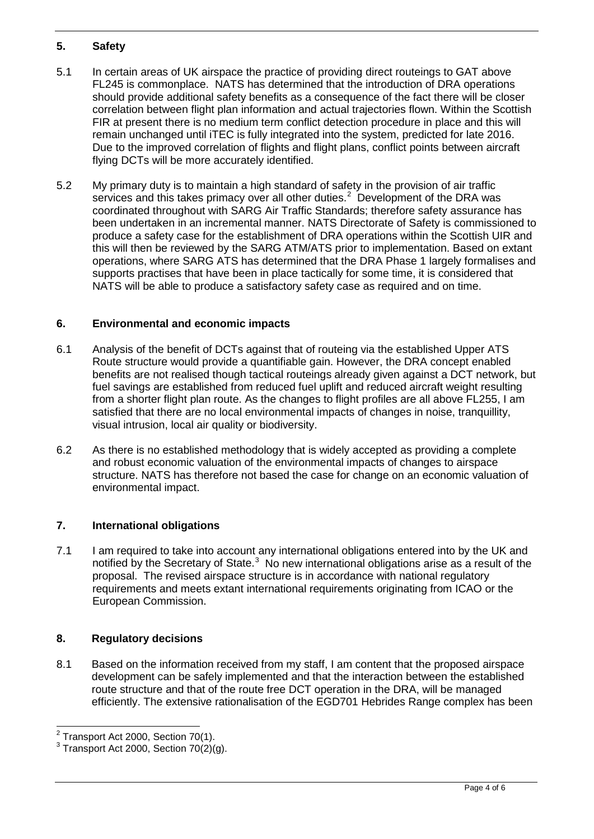## **5. Safety**

- 5.1 In certain areas of UK airspace the practice of providing direct routeings to GAT above FL245 is commonplace. NATS has determined that the introduction of DRA operations should provide additional safety benefits as a consequence of the fact there will be closer correlation between flight plan information and actual trajectories flown. Within the Scottish FIR at present there is no medium term conflict detection procedure in place and this will remain unchanged until iTEC is fully integrated into the system, predicted for late 2016. Due to the improved correlation of flights and flight plans, conflict points between aircraft flying DCTs will be more accurately identified.
- 5.2 My primary duty is to maintain a high standard of safety in the provision of air traffic services and this takes primacy over all other duties. $<sup>2</sup>$  $<sup>2</sup>$  $<sup>2</sup>$  Development of the DRA was</sup> coordinated throughout with SARG Air Traffic Standards; therefore safety assurance has been undertaken in an incremental manner. NATS Directorate of Safety is commissioned to produce a safety case for the establishment of DRA operations within the Scottish UIR and this will then be reviewed by the SARG ATM/ATS prior to implementation. Based on extant operations, where SARG ATS has determined that the DRA Phase 1 largely formalises and supports practises that have been in place tactically for some time, it is considered that NATS will be able to produce a satisfactory safety case as required and on time.

## **6. Environmental and economic impacts**

- 6.1 Analysis of the benefit of DCTs against that of routeing via the established Upper ATS Route structure would provide a quantifiable gain. However, the DRA concept enabled benefits are not realised though tactical routeings already given against a DCT network, but fuel savings are established from reduced fuel uplift and reduced aircraft weight resulting from a shorter flight plan route. As the changes to flight profiles are all above FL255, I am satisfied that there are no local environmental impacts of changes in noise, tranquillity, visual intrusion, local air quality or biodiversity.
- 6.2 As there is no established methodology that is widely accepted as providing a complete and robust economic valuation of the environmental impacts of changes to airspace structure. NATS has therefore not based the case for change on an economic valuation of environmental impact.

## **7. International obligations**

7.1 I am required to take into account any international obligations entered into by the UK and notified by the Secretary of State. $3$  No new international obligations arise as a result of the proposal. The revised airspace structure is in accordance with national regulatory requirements and meets extant international requirements originating from ICAO or the European Commission.

## **8. Regulatory decisions**

8.1 Based on the information received from my staff, I am content that the proposed airspace development can be safely implemented and that the interaction between the established route structure and that of the route free DCT operation in the DRA, will be managed efficiently. The extensive rationalisation of the EGD701 Hebrides Range complex has been

<span id="page-3-0"></span> $2$  Transport Act 2000, Section 70(1).

<span id="page-3-1"></span> $3$  Transport Act 2000, Section 70(2)(g).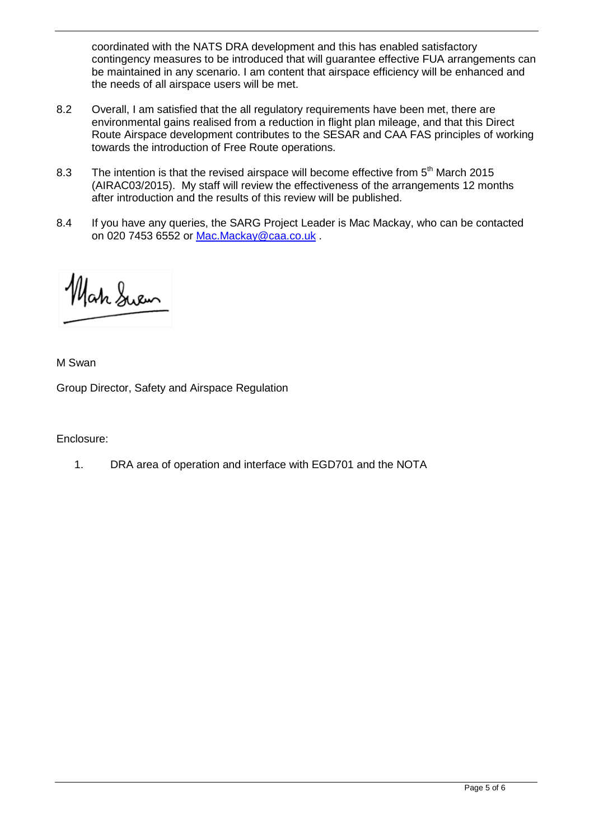coordinated with the NATS DRA development and this has enabled satisfactory contingency measures to be introduced that will guarantee effective FUA arrangements can be maintained in any scenario. I am content that airspace efficiency will be enhanced and the needs of all airspace users will be met.

- 8.2 Overall, I am satisfied that the all regulatory requirements have been met, there are environmental gains realised from a reduction in flight plan mileage, and that this Direct Route Airspace development contributes to the SESAR and CAA FAS principles of working towards the introduction of Free Route operations.
- 8.3 The intention is that the revised airspace will become effective from  $5<sup>th</sup>$  March 2015 (AIRAC03/2015). My staff will review the effectiveness of the arrangements 12 months after introduction and the results of this review will be published.
- 8.4 If you have any queries, the SARG Project Leader is Mac Mackay, who can be contacted on 020 7453 6552 or [Mac.Mackay@caa.co.uk](mailto:Mac.Mackay@caa.co.uk) .

Hah Swem

M Swan

Group Director, Safety and Airspace Regulation

Enclosure:

1. DRA area of operation and interface with EGD701 and the NOTA